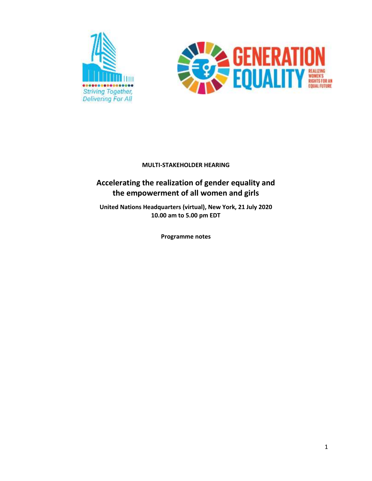



# **Accelerating the realization of gender equality and the empowerment of all women and girls**

**United Nations Headquarters (virtual), New York, 21 July 2020 10.00 am to 5.00 pm EDT** 

**Programme notes**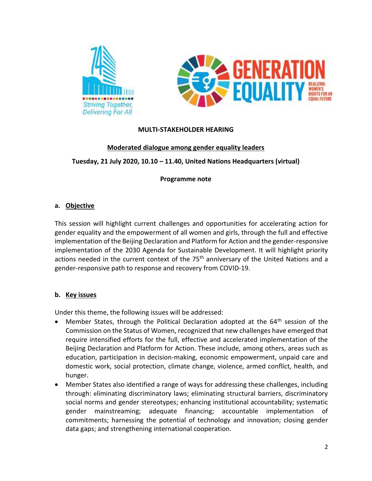



### **Moderated dialogue among gender equality leaders**

### **Tuesday, 21 July 2020, 10.10 – 11.40, United Nations Headquarters (virtual)**

### **Programme note**

### **a. Objective**

This session will highlight current challenges and opportunities for accelerating action for gender equality and the empowerment of all women and girls, through the full and effective implementation of the Beijing Declaration and Platform for Action and the gender-responsive implementation of the 2030 Agenda for Sustainable Development. It will highlight priority actions needed in the current context of the 75<sup>th</sup> anniversary of the United Nations and a gender-responsive path to response and recovery from COVID-19.

### **b. Key issues**

- Member States, through the Political Declaration adopted at the  $64<sup>th</sup>$  session of the Commission on the Status of Women, recognized that new challenges have emerged that require intensified efforts for the full, effective and accelerated implementation of the Beijing Declaration and Platform for Action. These include, among others, areas such as education, participation in decision-making, economic empowerment, unpaid care and domestic work, social protection, climate change, violence, armed conflict, health, and hunger.
- Member States also identified a range of ways for addressing these challenges, including through: eliminating discriminatory laws; eliminating structural barriers, discriminatory social norms and gender stereotypes; enhancing institutional accountability; systematic gender mainstreaming; adequate financing; accountable implementation of commitments; harnessing the potential of technology and innovation; closing gender data gaps; and strengthening international cooperation.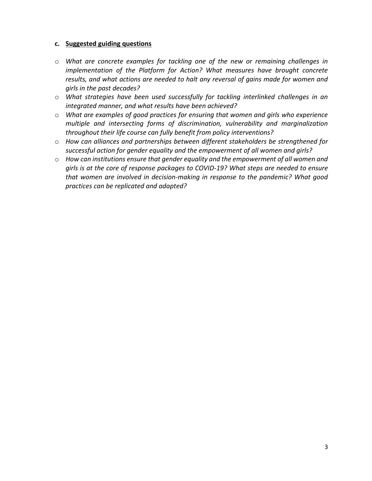- o *What are concrete examples for tackling one of the new or remaining challenges in implementation of the Platform for Action? What measures have brought concrete results, and what actions are needed to halt any reversal of gains made for women and girls in the past decades?*
- o *What strategies have been used successfully for tackling interlinked challenges in an integrated manner, and what results have been achieved?*
- o *What are examples of good practices for ensuring that women and girls who experience multiple and intersecting forms of discrimination, vulnerability and marginalization throughout their life course can fully benefit from policy interventions?*
- o *How can alliances and partnerships between different stakeholders be strengthened for successful action for gender equality and the empowerment of all women and girls?*
- o *How can institutions ensure that gender equality and the empowerment of all women and girls is at the core of response packages to COVID-19? What steps are needed to ensure that women are involved in decision-making in response to the pandemic? What good practices can be replicated and adapted?*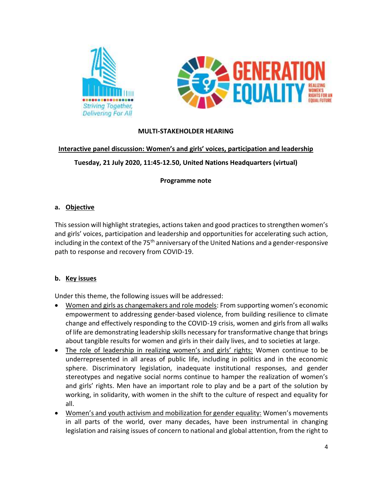



### **Interactive panel discussion: Women's and girls' voices, participation and leadership**

# **Tuesday, 21 July 2020, 11:45-12.50, United Nations Headquarters (virtual)**

### **Programme note**

### **a. Objective**

This session will highlight strategies, actions taken and good practices to strengthen women's and girls' voices, participation and leadership and opportunities for accelerating such action, including in the context of the 75<sup>th</sup> anniversary of the United Nations and a gender-responsive path to response and recovery from COVID-19.

# **b. Key issues**

- Women and girls as changemakers and role models: From supporting women's economic empowerment to addressing gender-based violence, from building resilience to climate change and effectively responding to the COVID-19 crisis, women and girls from all walks of life are demonstrating leadership skills necessary for transformative change that brings about tangible results for women and girls in their daily lives, and to societies at large.
- The role of leadership in realizing women's and girls' rights: Women continue to be underrepresented in all areas of public life, including in politics and in the economic sphere. Discriminatory legislation, inadequate institutional responses, and gender stereotypes and negative social norms continue to hamper the realization of women's and girls' rights. Men have an important role to play and be a part of the solution by working, in solidarity, with women in the shift to the culture of respect and equality for all.
- Women's and youth activism and mobilization for gender equality: Women's movements in all parts of the world, over many decades, have been instrumental in changing legislation and raising issues of concern to national and global attention, from the right to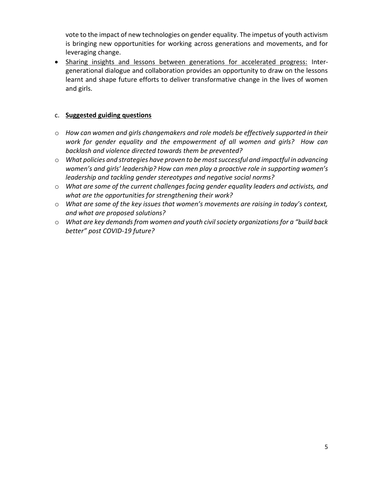vote to the impact of new technologies on gender equality. The impetus of youth activism is bringing new opportunities for working across generations and movements, and for leveraging change.

• Sharing insights and lessons between generations for accelerated progress: Intergenerational dialogue and collaboration provides an opportunity to draw on the lessons learnt and shape future efforts to deliver transformative change in the lives of women and girls.

- o *How can women and girls changemakers and role models be effectively supported in their work for gender equality and the empowerment of all women and girls? How can backlash and violence directed towards them be prevented?*
- o *What policies and strategies have proven to be most successful and impactful in advancing women's and girls' leadership? How can men play a proactive role in supporting women's leadership and tackling gender stereotypes and negative social norms?*
- o *What are some of the current challenges facing gender equality leaders and activists, and what are the opportunities for strengthening their work?*
- o *What are some of the key issues that women's movements are raising in today's context, and what are proposed solutions?*
- o *What are key demands from women and youth civil society organizations for a "build back better" post COVID-19 future?*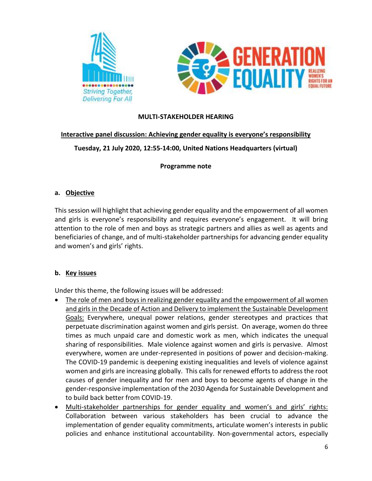



### **Interactive panel discussion: Achieving gender equality is everyone's responsibility**

### **Tuesday, 21 July 2020, 12:55-14:00, United Nations Headquarters (virtual)**

### **Programme note**

### **a. Objective**

This session will highlight that achieving gender equality and the empowerment of all women and girls is everyone's responsibility and requires everyone's engagement. It will bring attention to the role of men and boys as strategic partners and allies as well as agents and beneficiaries of change, and of multi-stakeholder partnerships for advancing gender equality and women's and girls' rights.

### **b. Key issues**

- The role of men and boys in realizing gender equality and the empowerment of all women and girls in the Decade of Action and Delivery to implement the Sustainable Development Goals: Everywhere, unequal power relations, gender stereotypes and practices that perpetuate discrimination against women and girls persist. On average, women do three times as much unpaid care and domestic work as men, which indicates the unequal sharing of responsibilities. Male violence against women and girls is pervasive. Almost everywhere, women are under-represented in positions of power and decision-making. The COVID-19 pandemic is deepening existing inequalities and levels of violence against women and girls are increasing globally. This calls for renewed efforts to address the root causes of gender inequality and for men and boys to become agents of change in the gender-responsive implementation of the 2030 Agenda for Sustainable Development and to build back better from COVID-19.
- Multi-stakeholder partnerships for gender equality and women's and girls' rights: Collaboration between various stakeholders has been crucial to advance the implementation of gender equality commitments, articulate women's interests in public policies and enhance institutional accountability. Non-governmental actors, especially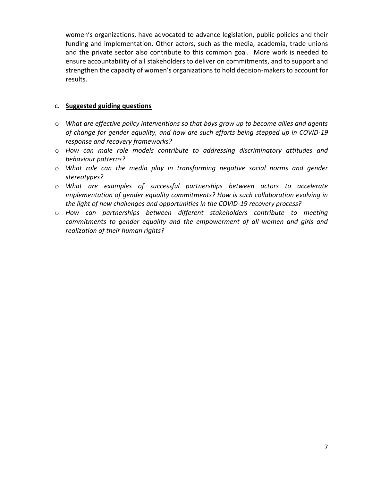women's organizations, have advocated to advance legislation, public policies and their funding and implementation. Other actors, such as the media, academia, trade unions and the private sector also contribute to this common goal. More work is needed to ensure accountability of all stakeholders to deliver on commitments, and to support and strengthen the capacity of women's organizations to hold decision-makers to account for results.

- o *What are effective policy interventions so that boys grow up to become allies and agents of change for gender equality, and how are such efforts being stepped up in COVID-19 response and recovery frameworks?*
- o *How can male role models contribute to addressing discriminatory attitudes and behaviour patterns?*
- o *What role can the media play in transforming negative social norms and gender stereotypes?*
- o *What are examples of successful partnerships between actors to accelerate implementation of gender equality commitments? How is such collaboration evolving in the light of new challenges and opportunities in the COVID-19 recovery process?*
- o *How can partnerships between different stakeholders contribute to meeting commitments to gender equality and the empowerment of all women and girls and realization of their human rights?*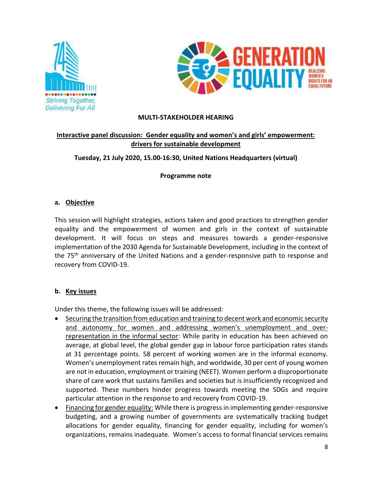



# **Interactive panel discussion: Gender equality and women's and girls' empowerment: drivers for sustainable development**

# **Tuesday, 21 July 2020, 15.00-16:30, United Nations Headquarters (virtual)**

**Programme note**

### **a. Objective**

This session will highlight strategies, actions taken and good practices to strengthen gender equality and the empowerment of women and girls in the context of sustainable development. It will focus on steps and measures towards a gender-responsive implementation of the 2030 Agenda for Sustainable Development, including in the context of the 75<sup>th</sup> anniversary of the United Nations and a gender-responsive path to response and recovery from COVID-19.

# **b. Key issues**

- Securing the transition from education and training to decent work and economic security and autonomy for women and addressing women's unemployment and overrepresentation in the informal sector: While parity in education has been achieved on average, at global level, the global gender gap in labour force participation rates stands at 31 percentage points. 58 percent of working women are in the informal economy. Women's unemployment rates remain high, and worldwide, 30 per cent of young women are not in education, employment or training (NEET). Women perform a disproportionate share of care work that sustains families and societies but is insufficiently recognized and supported. These numbers hinder progress towards meeting the SDGs and require particular attention in the response to and recovery from COVID-19.
- Financing for gender equality: While there is progress in implementing gender-responsive budgeting, and a growing number of governments are systematically tracking budget allocations for gender equality, financing for gender equality, including for women's organizations, remains inadequate. Women's access to formal financial services remains